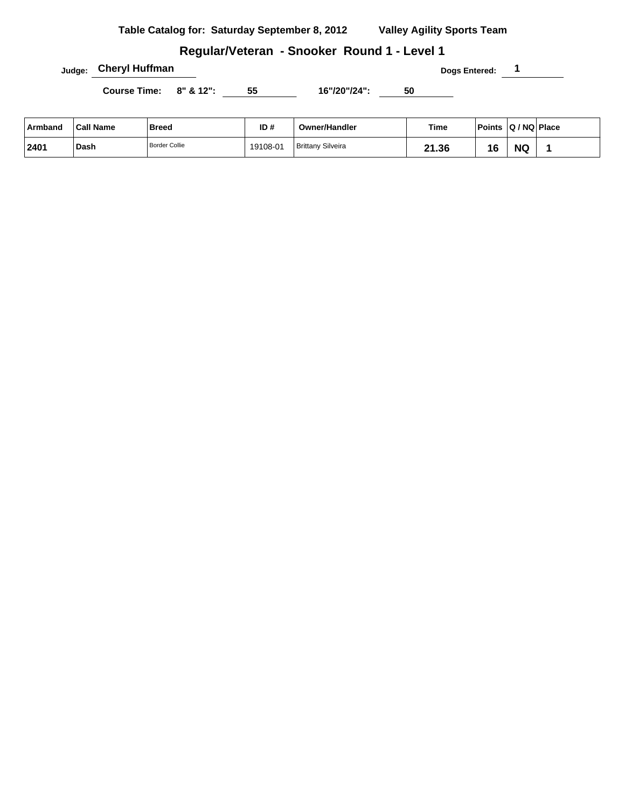**Table Catalog for: Saturday September 8, 2012 Valley Agility Sports Team**

### **Regular/Veteran - Snooker Round 1 - Level 1**

**Judge: Cheryl Huffman Dogs Entered: 1** 

Course Time: 8" & 12": 55 16"/20"/24": 50

| Armband | <b>Call Name</b> | <b>Breed</b>  | ID#      | <b>Owner/Handler</b>     | Time       | <b>Points</b> | $ Q/NQ $ Place |  |
|---------|------------------|---------------|----------|--------------------------|------------|---------------|----------------|--|
| 2401    | Dash             | Border Collie | 19108-01 | <b>Brittany Silveira</b> | 21.36<br>ີ | 16            | <b>NC</b>      |  |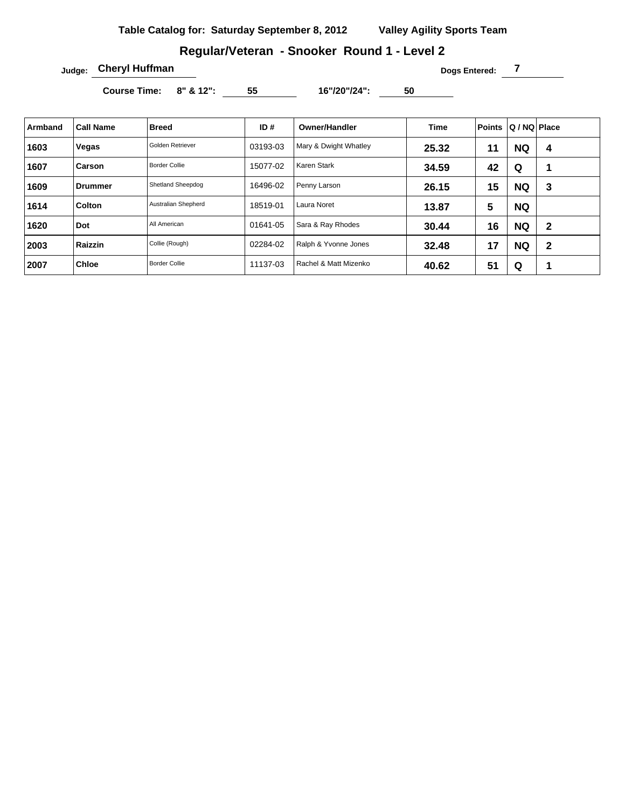## **Regular/Veteran - Snooker Round 1 - Level 2**

**Judge: Cheryl Huffman Dogs Entered: 7 Dogs Entered: 7** 

Course Time: 8" & 12": 55 16"/20"/24": 50

| Armband | <b>Call Name</b> | <b>Breed</b>         | ID#      | <b>Owner/Handler</b>  | Time  | <b>Points</b> | Q / NQ Place |              |
|---------|------------------|----------------------|----------|-----------------------|-------|---------------|--------------|--------------|
| 1603    | Vegas            | Golden Retriever     | 03193-03 | Mary & Dwight Whatley | 25.32 | 11            | <b>NQ</b>    | 4            |
| 1607    | Carson           | <b>Border Collie</b> | 15077-02 | Karen Stark           | 34.59 | 42            | Q            | 1            |
| 1609    | <b>Drummer</b>   | Shetland Sheepdog    | 16496-02 | Penny Larson          | 26.15 | 15            | <b>NQ</b>    | 3            |
| 1614    | <b>Colton</b>    | Australian Shepherd  | 18519-01 | Laura Noret           | 13.87 | 5             | <b>NQ</b>    |              |
| 1620    | Dot              | All American         | 01641-05 | Sara & Ray Rhodes     | 30.44 | 16            | <b>NQ</b>    | $\mathbf{2}$ |
| 2003    | Raizzin          | Collie (Rough)       | 02284-02 | Ralph & Yvonne Jones  | 32.48 | 17            | <b>NQ</b>    | $\mathbf{2}$ |
| 2007    | <b>Chloe</b>     | <b>Border Collie</b> | 11137-03 | Rachel & Matt Mizenko | 40.62 | 51            | Q            | 1            |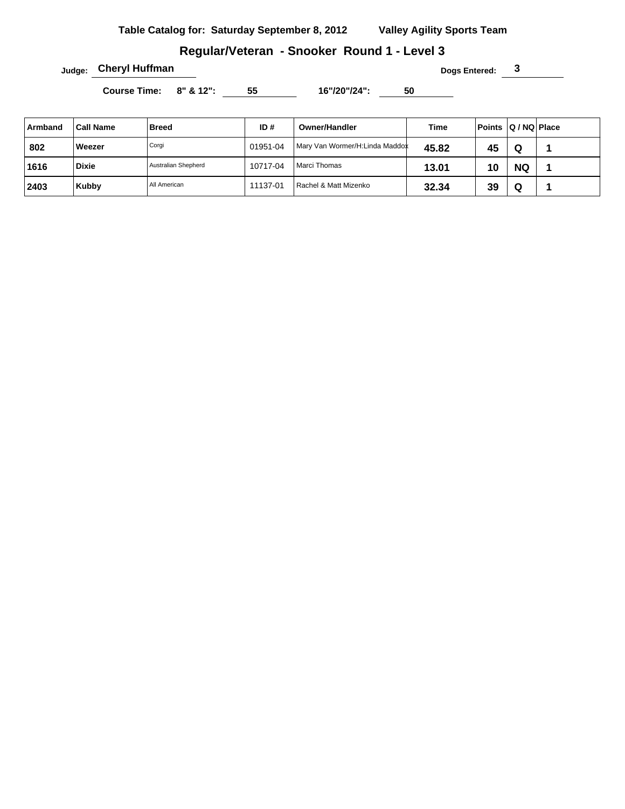## **Regular/Veteran - Snooker Round 1 - Level 3**

**Judge: Cheryl Huffman Dogs Entered: 3** 

Course Time: 8" & 12": 55 16"/20"/24": 50

| Armband | <b>Call Name</b> | <b>Breed</b>        | ID#      | <b>Owner/Handler</b>           | Time  | Points Q/NQ Place |           |  |
|---------|------------------|---------------------|----------|--------------------------------|-------|-------------------|-----------|--|
| 802     | Weezer           | Corgi               | 01951-04 | Mary Van Wormer/H:Linda Maddox | 45.82 | 45                | Q         |  |
| 1616    | <b>Dixie</b>     | Australian Shepherd | 10717-04 | Marci Thomas                   | 13.01 | 10                | <b>NQ</b> |  |
| 2403    | Kubby            | All American        | 11137-01 | Rachel & Matt Mizenko          | 32.34 | 39                | Q         |  |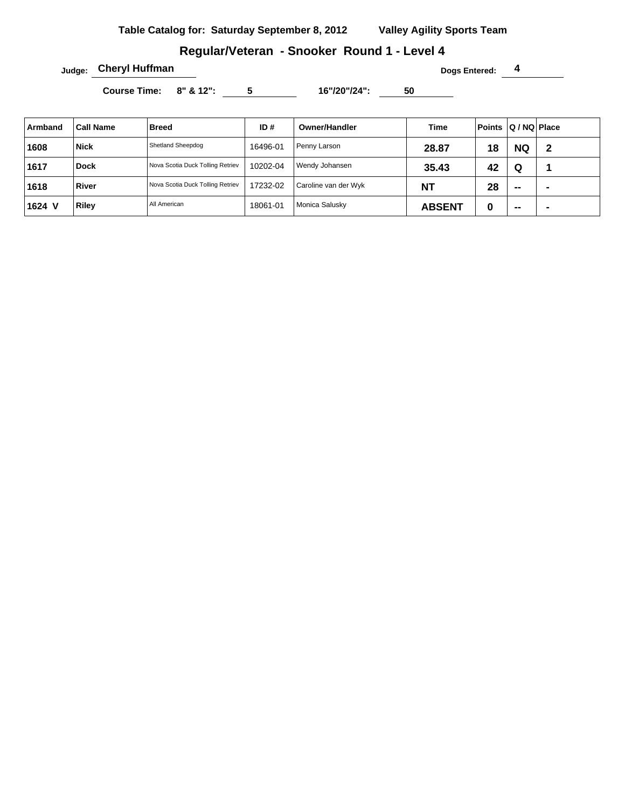## **Regular/Veteran - Snooker Round 1 - Level 4**

**Judge: Cheryl Huffman Dogs Entered: 4** 

Course Time: 8" & 12": 5 16"/20"/24": 50

| Armband | <b>Call Name</b> | <b>Breed</b>                     | ID#      | <b>Owner/Handler</b> | Time          | Points Q/NQ Place |           |   |
|---------|------------------|----------------------------------|----------|----------------------|---------------|-------------------|-----------|---|
| 1608    | <b>Nick</b>      | Shetland Sheepdog                | 16496-01 | Penny Larson         | 28.87         | 18                | <b>NQ</b> | 2 |
| 1617    | <b>Dock</b>      | Nova Scotia Duck Tolling Retriev | 10202-04 | Wendy Johansen       | 35.43         | 42                | Q         |   |
| 1618    | <b>River</b>     | Nova Scotia Duck Tolling Retriev | 17232-02 | Caroline van der Wyk | <b>NT</b>     | 28                | $- -$     |   |
| 1624 V  | <b>Riley</b>     | All American                     | 18061-01 | Monica Salusky       | <b>ABSENT</b> | 0                 | $- -$     | - |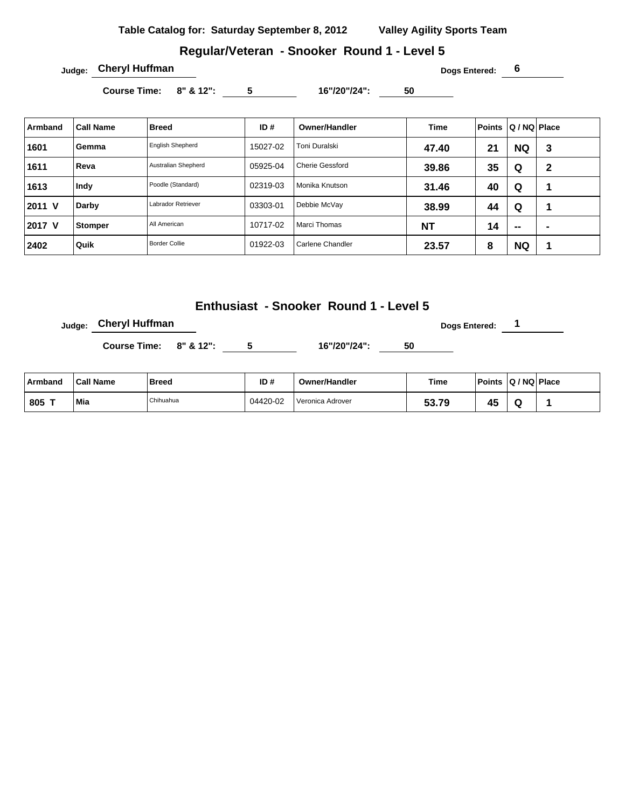**Table Catalog for: Saturday September 8, 2012 Valley Agility Sports Team**

#### **Regular/Veteran - Snooker Round 1 - Level 5**

**Judge: Cheryl Huffman Dogs Entered: 6** 

Course Time: 8" & 12": 5 16"/20"/24": 50

| Armband | Call Name      | <b>Breed</b>            | ID#      | <b>Owner/Handler</b>   | <b>Time</b> | <b>Points</b> | Q / NQ   Place |   |
|---------|----------------|-------------------------|----------|------------------------|-------------|---------------|----------------|---|
| 1601    | Gemma          | <b>English Shepherd</b> | 15027-02 | Toni Duralski          | 47.40       | 21            | <b>NQ</b>      | 3 |
| 1611    | Reva           | Australian Shepherd     | 05925-04 | <b>Cherie Gessford</b> | 39.86       | 35            | Q              | 2 |
| 1613    | Indy           | Poodle (Standard)       | 02319-03 | Monika Knutson         | 31.46       | 40            | Q              |   |
| 2011 V  | Darby          | Labrador Retriever      | 03303-01 | Debbie McVay           | 38.99       | 44            | Q              |   |
| 2017 V  | <b>Stomper</b> | All American            | 10717-02 | Marci Thomas           | <b>NT</b>   | 14            | $\sim$         |   |
| 2402    | Quik           | <b>Border Collie</b>    | 01922-03 | Carlene Chandler       | 23.57       | 8             | <b>NQ</b>      |   |

## **Enthusiast - Snooker Round 1 - Level 5**

**Dogs Entered: 1 Dogs Entered: 1** 

**Course Time: 8" & 12": 5 16"/20"/24": 50** 

| ⊦Armband | <b>Call Name</b> | <b>Breed</b> | ID#      | <b>Owner/Handler</b> | Time  | <b>Points</b>          | Q / NQ   Place |  |
|----------|------------------|--------------|----------|----------------------|-------|------------------------|----------------|--|
| . 805    | Mia              | Chihuahua    | 04420-02 | Veronica Adrover     | 53.79 | $\overline{a}$<br>15 F |                |  |